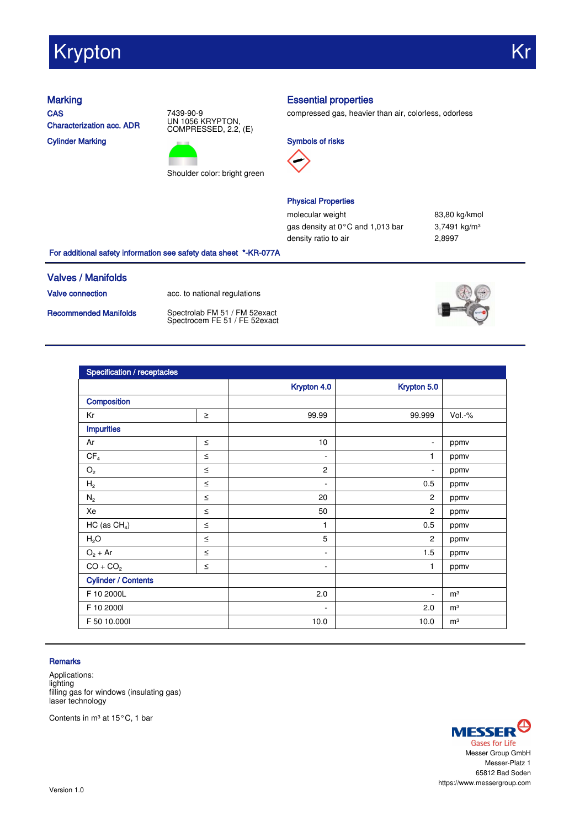# Krypton Krypton Kronika (Krypton Krypton)

**CAS** Characterization acc. ADR Cylinder Marking





## Marking **Essential properties**

compressed gas, heavier than air, colorless, odorless





## Physical Properties

molecular weight 83,80 kg/kmol gas density at 0°C and 1,013 bar 3,7491 kg/m<sup>3</sup> density ratio to air **2,8997** 

For additional safety information see safety data sheet \*-KR-077A

### Valves / Manifolds

Valve connection acc. to national regulations

Recommended Manifolds Spectrolab FM 51 / FM 52exact Spectrocem FE 51 / FE 52exact



| Specification / receptacles |        |                          |                          |                |
|-----------------------------|--------|--------------------------|--------------------------|----------------|
|                             |        | Krypton 4.0              | Krypton 5.0              |                |
| Composition                 |        |                          |                          |                |
| Kr                          | $\geq$ | 99.99                    | 99.999                   | $Vol.-%$       |
| <b>Impurities</b>           |        |                          |                          |                |
| Ar                          | $\leq$ | 10                       | $\overline{\phantom{0}}$ | ppmv           |
| CF <sub>4</sub>             | $\leq$ | $\overline{\phantom{a}}$ | 1                        | ppmv           |
| $\mathrm{O}_2$              | $\leq$ | $\overline{2}$           | $\overline{\phantom{0}}$ | ppmv           |
| H <sub>2</sub>              | $\leq$ | $\overline{\phantom{a}}$ | 0.5                      | ppmv           |
| $N_2$                       | $\leq$ | 20                       | 2                        | ppmv           |
| Xe                          | $\leq$ | 50                       | $\overline{2}$           | ppmv           |
| HC (as $CH4$ )              | $\leq$ | 1                        | 0.5                      | ppmv           |
| H <sub>2</sub> O            | $\leq$ | 5                        | $\overline{c}$           | ppmv           |
| $O_2 + Ar$                  | $\leq$ | ٠                        | 1.5                      | ppmv           |
| $CO + CO2$                  | $\leq$ | $\overline{\phantom{a}}$ | 1                        | ppmv           |
| <b>Cylinder / Contents</b>  |        |                          |                          |                |
| F 10 2000L                  |        | 2.0                      | ٠                        | m <sup>3</sup> |
| F 10 2000l                  |        | $\overline{\phantom{a}}$ | 2.0                      | m <sup>3</sup> |
| F 50 10.000                 |        | 10.0                     | 10.0                     | m <sup>3</sup> |

### **Remarks**

Applications: lighting filling gas for windows (insulating gas) laser technology

Contents in m<sup>3</sup> at 15°C, 1 bar